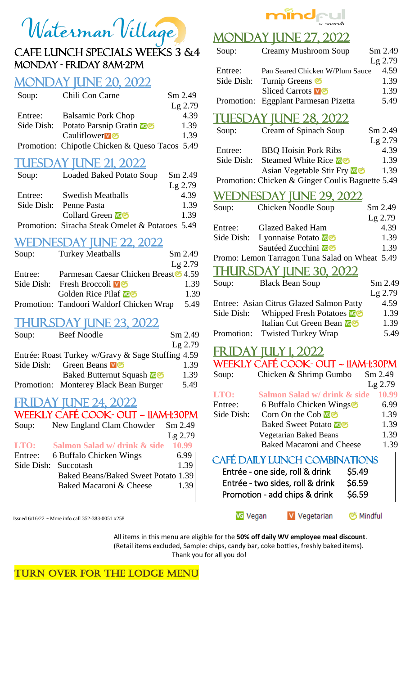

# Monday - Friday 8AM-2PM

## Monday June 20, 2022

| Soup:      | Chili Con Carne                                | Sm 2.49   |
|------------|------------------------------------------------|-----------|
|            |                                                | $Lg$ 2.79 |
| Entree:    | <b>Balsamic Pork Chop</b>                      | 4.39      |
| Side Dish: | Potato Parsnip Gratin <b>News</b>              | 1.39      |
|            | Cauliflower <sup>v</sup>                       | 1.39      |
|            | Promotion: Chipotle Chicken & Queso Tacos 5.49 |           |

# **TUESDAY JUNE 21, 2022**

| Soup:   | <b>Loaded Baked Potato Soup</b>                 | $Sm$ 2.49 |
|---------|-------------------------------------------------|-----------|
|         |                                                 | $Lg$ 2.79 |
| Entree: | <b>Swedish Meatballs</b>                        | 4.39      |
|         | Side Dish: Penne Pasta                          | 1.39      |
|         | Collard Green                                   | 1.39      |
|         | Promotion: Siracha Steak Omelet & Potatoes 5.49 |           |

#### WEDNESDAY JUNE 22, 2022

| Soup:      | <b>Turkey Meatballs</b>                             | Sm 2.49   |
|------------|-----------------------------------------------------|-----------|
|            |                                                     | $Lg$ 2.79 |
| Entree:    | Parmesan Caesar Chicken Breast \$4.59               |           |
|            | Side Dish: Fresh Broccoli vo                        | 1.39      |
|            | Golden Rice Pilaf <b>NG</b>                         | 1.39      |
|            | Promotion: Tandoori Waldorf Chicken Wrap            | 5.49      |
| Soup:      | <b>THURSDAY JUNE 23, 2022</b><br><b>Beef Noodle</b> | Sm 2.49   |
|            |                                                     | $Lg$ 2.79 |
|            | Entrée: Roast Turkey w/Gravy & Sage Stuffing 4.59   |           |
| Side Dish: | Green Beans <b>v</b> <sup>o</sup>                   | 1.39      |
|            | <b>Baked Butternut Squash Leon</b>                  | 1.39      |
|            | Promotion: Monterey Black Bean Burger               | 5.49      |
|            | $\bigcap$ AVIIINIE $\bigcap$ AVIII                  |           |

# **FRIDAY IUNE 24, 2022**

#### Weekly Café cook- out ~ 11am-1:30pm

| Soup: | New England Clam Chowder Sm 2.49         |           |
|-------|------------------------------------------|-----------|
|       |                                          | $Lg$ 2.79 |
|       | <b>LTO:</b> Salmon Salad w/ drink & side | 10.99     |
|       | Entree: 6 Buffalo Chicken Wings          | 6.99      |
|       | Side Dish: Succotash                     | 1.39      |
|       | Baked Beans/Baked Sweet Potato 1.39      |           |
|       | Baked Macaroni & Cheese                  | 1.39      |
|       |                                          |           |

Issued 6/16/22 ~ More info call 352-383-0051 x258

mindrul

# **MONDAY JUNE 27, 2022**

| <u>VDAY JUNE 27, 2022</u>                      |                                                  |           |  |
|------------------------------------------------|--------------------------------------------------|-----------|--|
| Soup:                                          | <b>Creamy Mushroom Soup</b>                      | Sm 2.49   |  |
|                                                |                                                  | Lg 2.79   |  |
| Entree:                                        | Pan Seared Chicken W/Plum Sauce                  | 4.59      |  |
| Side Dish:                                     | Turnip Greens                                    | 1.39      |  |
|                                                | <b>Sliced Carrots v o</b>                        | 1.39      |  |
| Promotion:                                     | Eggplant Parmesan Pizetta                        | 5.49      |  |
|                                                | <u>DAY JUNE 28, 2022</u>                         |           |  |
| Soup:                                          | <b>Cream of Spinach Soup</b>                     | Sm 2.49   |  |
|                                                |                                                  | $Lg$ 2.79 |  |
| Entree:                                        | <b>BBQ Hoisin Pork Ribs</b>                      | 4.39      |  |
| Side Dish:                                     | Steamed White Rice <b>vo</b>                     | 1.39      |  |
|                                                | Asian Vegetable Stir Fry                         | 1.39      |  |
|                                                | Promotion: Chicken & Ginger Coulis Baguette 5.49 |           |  |
| <u>WEDN</u>                                    | <u>VESDAY JUNE 29, 2022</u>                      |           |  |
| Soup:                                          | Chicken Noodle Soup                              | Sm 2.49   |  |
|                                                |                                                  | Lg 2.79   |  |
| Entree:                                        | <b>Glazed Baked Ham</b>                          | 4.39      |  |
| Side Dish:                                     | Lyonnaise Potato                                 | 1.39      |  |
|                                                | Sautéed Zucchini <b>Ne</b>                       | 1.39      |  |
| Promo: Lemon Tarragon Tuna Salad on Wheat 5.49 |                                                  |           |  |
|                                                | <u>THURSDAY JUNE 30, 2022</u>                    |           |  |
| Soup:                                          | <b>Black Bean Soup</b>                           | $Sm$ 2.49 |  |
|                                                |                                                  | Lg 2.79   |  |
|                                                | Entree: Asian Citrus Glazed Salmon Patty         | 4.59      |  |
| Side Dish:                                     | Whipped Fresh Potatoes <b>New</b>                | 1.39      |  |
|                                                | Italian Cut Green Bean <b>NE</b>                 | 1.39      |  |
| Promotion:                                     | <b>Twisted Turkey Wrap</b>                       | 5.49      |  |
| <u>FRIDAY JULY 1, 2022</u>                     |                                                  |           |  |
| WEEKLY CAFÉ COOK- OUT ~ 11AM-1:30PM            |                                                  |           |  |
| Soup:                                          | Chicken & Shrimp Gumbo                           | $Sm$ 2.49 |  |
|                                                |                                                  | $Lg$ 2.79 |  |
| LTO:                                           | Salmon Salad w/ drink & side                     | 10.99     |  |
| Entree:                                        | 6 Buffalo Chicken Wings                          | 6.99      |  |
| Side Dish:                                     | Corn On the Cob                                  | 1.39      |  |
|                                                | <b>Baked Sweet Potato K</b> o                    | 1.39      |  |
|                                                | Vegetarian Baked Beans                           | 1.39      |  |
|                                                | <b>Baked Macaroni and Cheese</b>                 | 1.39      |  |

#### Ī Ĭ CAFÉ DAILY LUNCH COMBINATIONS Entrée - one side, roll & drink \$5.49 Entrée - two sides, roll & drink \$6.59 Promotion - add chips & drink \$6.59

**VG** Vegan V Vegetarian S Mindful

All items in this menu are eligible for the **50% off daily WV employee meal discount**. (Retail items excluded, Sample: chips, candy bar, coke bottles, freshly baked items). Thank you for all you do!

TURN OVER FOR THE LODGE MENU